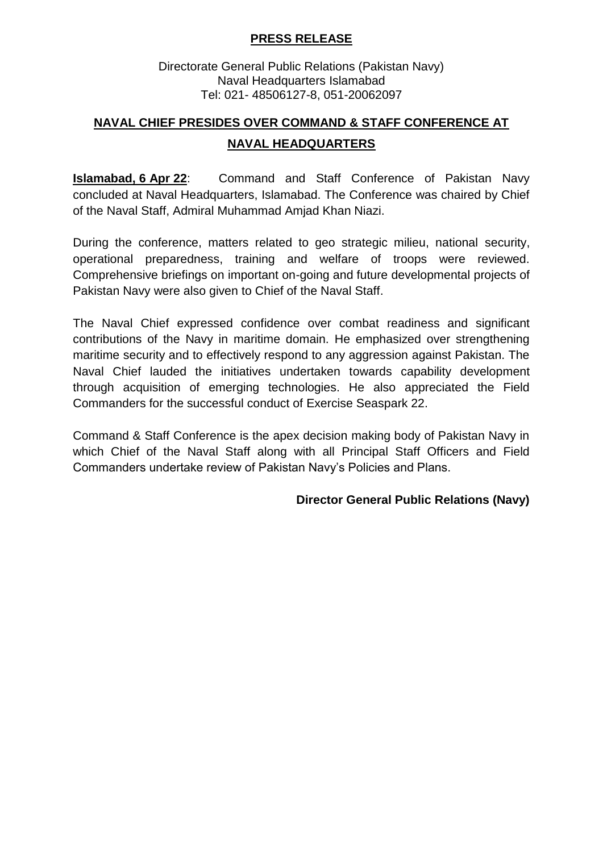## **PRESS RELEASE**

Directorate General Public Relations (Pakistan Navy) Naval Headquarters Islamabad Tel: 021- 48506127-8, 051-20062097

## **NAVAL CHIEF PRESIDES OVER COMMAND & STAFF CONFERENCE AT NAVAL HEADQUARTERS**

**Islamabad, 6 Apr 22**: Command and Staff Conference of Pakistan Navy concluded at Naval Headquarters, Islamabad. The Conference was chaired by Chief of the Naval Staff, Admiral Muhammad Amjad Khan Niazi.

During the conference, matters related to geo strategic milieu, national security, operational preparedness, training and welfare of troops were reviewed. Comprehensive briefings on important on-going and future developmental projects of Pakistan Navy were also given to Chief of the Naval Staff.

The Naval Chief expressed confidence over combat readiness and significant contributions of the Navy in maritime domain. He emphasized over strengthening maritime security and to effectively respond to any aggression against Pakistan. The Naval Chief lauded the initiatives undertaken towards capability development through acquisition of emerging technologies. He also appreciated the Field Commanders for the successful conduct of Exercise Seaspark 22.

Command & Staff Conference is the apex decision making body of Pakistan Navy in which Chief of the Naval Staff along with all Principal Staff Officers and Field Commanders undertake review of Pakistan Navy's Policies and Plans.

## **Director General Public Relations (Navy)**